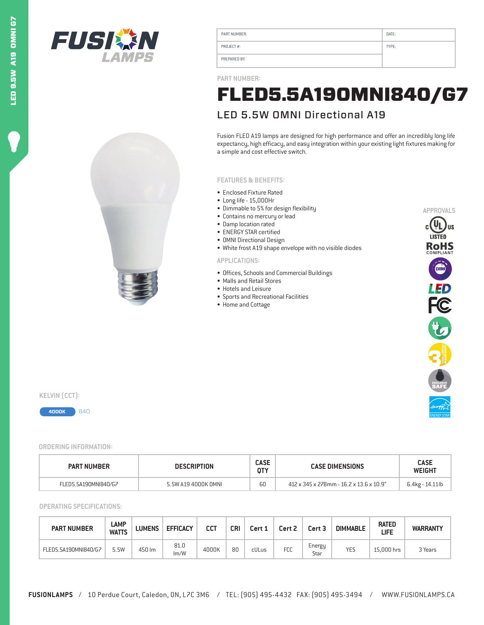



| PART NUMBER: | DATE: |
|--------------|-------|
| PROJECT#:    | TYPE: |
| PREPARED BY: |       |

**PART NUMBER:**

## LED 5.5W OMNI Directional A19 FLED5.5A19OMNI840/G7

Fusion FLED A19 lamps are designed for high performance and offer an incredibly long life expectancy, high efficacy, and easy integration within your existing light fixtures making for a simple and cost effective switch.

## **FEATURES & BENEFITS:**

- Enclosed Fixture Rated
- Long life 15,000Hr
- Dimmable to 5% for design flexibility
- Contains no mercury or lead
- Damp location rated
- ENERGY STAR certified
- OMNI Directional Design
- White frost A19 shape envelope with no visible diodes

## **APPLICATIONS:**

- Offices, Schools and Commercial Buildings
- Malls and Retail Stores
- Hotels and Leisure
- Sports and Recreational Facilities
- Home and Cottage



**KELVIN** (CCT):



**ORDERING INFORMATION:**

| <b>PART NUMBER</b>   | <b>DESCRIPTION</b>  |          | <b>CASE DIMENSIONS</b>                  | <b>CASE</b><br><b>WEIGHT</b> |
|----------------------|---------------------|----------|-----------------------------------------|------------------------------|
| FLED5.5A190MNI840/G7 | 5.5W A19 4000K OMNI | cc<br>ьu | 412 x 345 x 278mm - 16.2 x 13.6 x 10.9" | 6.4kg - 14.11lb              |

**OPERATING SPECIFICATIONS:**

| <b>PART NUMBER</b>   | LAMP<br><b>WATTS</b> | <b>LUMENS</b> | <b>EFFICACY</b> | сст   | CRI | Cert 1 | Cert 2     | Cert 3         | <b>DIMMABLE</b> | <b>RATED</b><br>LIFE | <b>WARRANTY</b> |
|----------------------|----------------------|---------------|-----------------|-------|-----|--------|------------|----------------|-----------------|----------------------|-----------------|
| FLED5.5A190MNI840/G7 | 5.5W                 | 450 lm        | 81.0<br>Im/W    | 4000K | 80  | cULus  | <b>FCC</b> | Energy<br>Star | <b>YES</b>      | 15.000 hrs           | 3 Years         |